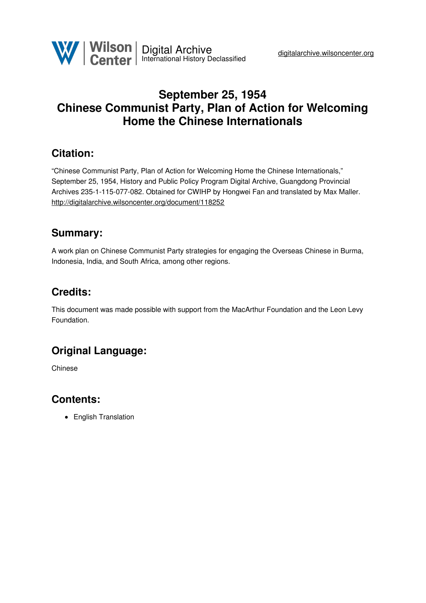

# **September 25, 1954 Chinese Communist Party, Plan of Action for Welcoming Home the Chinese Internationals**

### **Citation:**

"Chinese Communist Party, Plan of Action for Welcoming Home the Chinese Internationals," September 25, 1954, History and Public Policy Program Digital Archive, Guangdong Provincial Archives 235-1-115-077-082. Obtained for CWIHP by Hongwei Fan and translated by Max Maller. <http://digitalarchive.wilsoncenter.org/document/118252>

## **Summary:**

A work plan on Chinese Communist Party strategies for engaging the Overseas Chinese in Burma, Indonesia, India, and South Africa, among other regions.

# **Credits:**

This document was made possible with support from the MacArthur Foundation and the Leon Levy Foundation.

# **Original Language:**

Chinese

### **Contents:**

• English Translation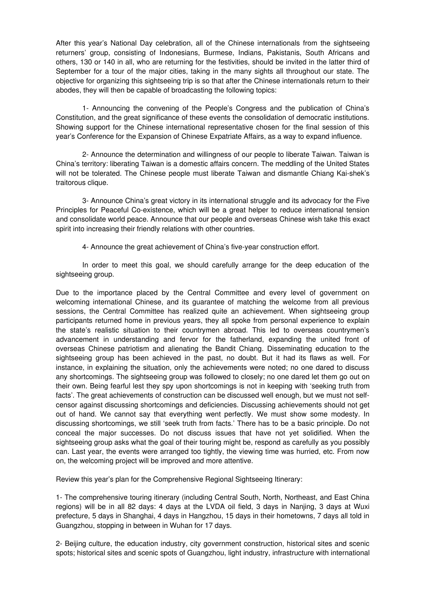After this year's National Day celebration, all of the Chinese internationals from the sightseeing returners' group, consisting of Indonesians, Burmese, Indians, Pakistanis, South Africans and others, 130 or 140 in all, who are returning for the festivities, should be invited in the latter third of September for a tour of the major cities, taking in the many sights all throughout our state. The objective for organizing this sightseeing trip is so that after the Chinese internationals return to their abodes, they will then be capable of broadcasting the following topics:

1- Announcing the convening of the People's Congress and the publication of China's Constitution, and the great significance of these events the consolidation of democratic institutions. Showing support for the Chinese international representative chosen for the final session of this year's Conference for the Expansion of Chinese Expatriate Affairs, as a way to expand influence.

2- Announce the determination and willingness of our people to liberate Taiwan. Taiwan is China's territory: liberating Taiwan is a domestic affairs concern. The meddling of the United States will not be tolerated. The Chinese people must liberate Taiwan and dismantle Chiang Kai-shek's traitorous clique.

3- Announce China's great victory in its international struggle and its advocacy for the Five Principles for Peaceful Co-existence, which will be a great helper to reduce international tension and consolidate world peace. Announce that our people and overseas Chinese wish take this exact spirit into increasing their friendly relations with other countries.

4- Announce the great achievement of China's five-year construction effort.

In order to meet this goal, we should carefully arrange for the deep education of the sightseeing group.

Due to the importance placed by the Central Committee and every level of government on welcoming international Chinese, and its guarantee of matching the welcome from all previous sessions, the Central Committee has realized quite an achievement. When sightseeing group participants returned home in previous years, they all spoke from personal experience to explain the state's realistic situation to their countrymen abroad. This led to overseas countrymen's advancement in understanding and fervor for the fatherland, expanding the united front of overseas Chinese patriotism and alienating the Bandit Chiang. Disseminating education to the sightseeing group has been achieved in the past, no doubt. But it had its flaws as well. For instance, in explaining the situation, only the achievements were noted; no one dared to discuss any shortcomings. The sightseeing group was followed to closely; no one dared let them go out on their own. Being fearful lest they spy upon shortcomings is not in keeping with 'seeking truth from facts'. The great achievements of construction can be discussed well enough, but we must not selfcensor against discussing shortcomings and deficiencies. Discussing achievements should not get out of hand. We cannot say that everything went perfectly. We must show some modesty. In discussing shortcomings, we still 'seek truth from facts.' There has to be a basic principle. Do not conceal the major successes. Do not discuss issues that have not yet solidified. When the sightseeing group asks what the goal of their touring might be, respond as carefully as you possibly can. Last year, the events were arranged too tightly, the viewing time was hurried, etc. From now on, the welcoming project will be improved and more attentive.

Review this year's plan for the Comprehensive Regional Sightseeing Itinerary:

1- The comprehensive touring itinerary (including Central South, North, Northeast, and East China regions) will be in all 82 days: 4 days at the LVDA oil field, 3 days in Nanjing, 3 days at Wuxi prefecture, 5 days in Shanghai, 4 days in Hangzhou, 15 days in their hometowns, 7 days all told in Guangzhou, stopping in between in Wuhan for 17 days.

2- Beijing culture, the education industry, city government construction, historical sites and scenic spots; historical sites and scenic spots of Guangzhou, light industry, infrastructure with international